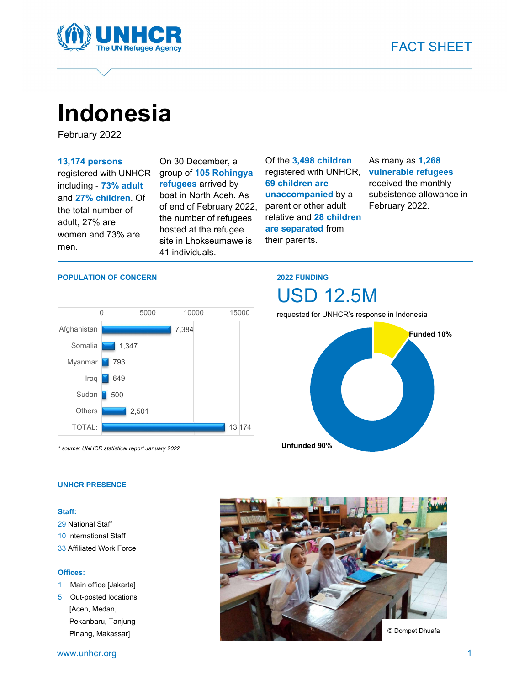

# Indonesia

February 2022

13,174 persons

registered with UNHCR including - 73% adult and 27% children. Of the total number of adult, 27% are women and 73% are men.

On 30 December, a group of 105 Rohingya refugees arrived by boat in North Aceh. As of end of February 2022, the number of refugees hosted at the refugee site in Lhokseumawe is 41 individuals.

Of the 3,498 children registered with UNHCR, 69 children are unaccompanied by a parent or other adult relative and 28 children are separated from their parents.

### As many as 1,268 vulnerable refugees received the monthly subsistence allowance in February 2022.

#### POPULATION OF CONCERN



\* source: UNHCR statistical report January 2022

## 2022 FUNDING

requested for UNHCR's response in Indonesia

USD 12.5M



#### UNHCR PRESENCE

#### Staff:

- 29 National Staff
- 10 International Staff
- 33 Affiliated Work Force

#### Offices:

- 1 Main office [Jakarta]
- 5 Out-posted locations [Aceh, Medan, Pekanbaru, Tanjung Pinang, Makassar]

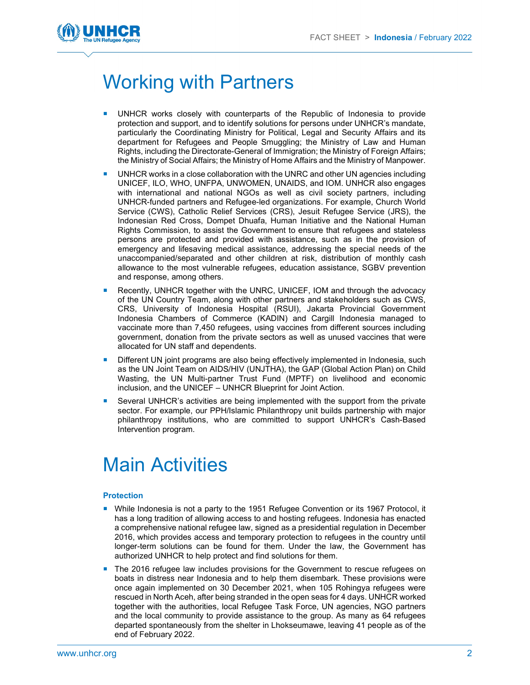

# Working with Partners

- UNHCR works closely with counterparts of the Republic of Indonesia to provide protection and support, and to identify solutions for persons under UNHCR's mandate, particularly the Coordinating Ministry for Political, Legal and Security Affairs and its department for Refugees and People Smuggling; the Ministry of Law and Human Rights, including the Directorate-General of Immigration; the Ministry of Foreign Affairs; the Ministry of Social Affairs; the Ministry of Home Affairs and the Ministry of Manpower.
- UNHCR works in a close collaboration with the UNRC and other UN agencies including UNICEF, ILO, WHO, UNFPA, UNWOMEN, UNAIDS, and IOM. UNHCR also engages with international and national NGOs as well as civil society partners, including UNHCR-funded partners and Refugee-led organizations. For example, Church World Service (CWS), Catholic Relief Services (CRS), Jesuit Refugee Service (JRS), the Indonesian Red Cross, Dompet Dhuafa, Human Initiative and the National Human Rights Commission, to assist the Government to ensure that refugees and stateless persons are protected and provided with assistance, such as in the provision of emergency and lifesaving medical assistance, addressing the special needs of the unaccompanied/separated and other children at risk, distribution of monthly cash allowance to the most vulnerable refugees, education assistance, SGBV prevention and response, among others.
- Recently, UNHCR together with the UNRC, UNICEF, IOM and through the advocacy of the UN Country Team, along with other partners and stakeholders such as CWS, CRS, University of Indonesia Hospital (RSUI), Jakarta Provincial Government Indonesia Chambers of Commerce (KADIN) and Cargill Indonesia managed to vaccinate more than 7,450 refugees, using vaccines from different sources including government, donation from the private sectors as well as unused vaccines that were allocated for UN staff and dependents.
- Different UN joint programs are also being effectively implemented in Indonesia, such as the UN Joint Team on AIDS/HIV (UNJTHA), the GAP (Global Action Plan) on Child Wasting, the UN Multi-partner Trust Fund (MPTF) on livelihood and economic inclusion, and the UNICEF – UNHCR Blueprint for Joint Action.
- Several UNHCR's activities are being implemented with the support from the private sector. For example, our PPH/Islamic Philanthropy unit builds partnership with major philanthropy institutions, who are committed to support UNHCR's Cash-Based Intervention program.

# Main Activities

#### **Protection**

- **Nile Indonesia is not a party to the 1951 Refugee Convention or its 1967 Protocol, it** has a long tradition of allowing access to and hosting refugees. Indonesia has enacted a comprehensive national refugee law, signed as a presidential regulation in December 2016, which provides access and temporary protection to refugees in the country until longer-term solutions can be found for them. Under the law, the Government has authorized UNHCR to help protect and find solutions for them.
- The 2016 refugee law includes provisions for the Government to rescue refugees on boats in distress near Indonesia and to help them disembark. These provisions were once again implemented on 30 December 2021, when 105 Rohingya refugees were rescued in North Aceh, after being stranded in the open seas for 4 days. UNHCR worked together with the authorities, local Refugee Task Force, UN agencies, NGO partners and the local community to provide assistance to the group. As many as 64 refugees departed spontaneously from the shelter in Lhokseumawe, leaving 41 people as of the end of February 2022.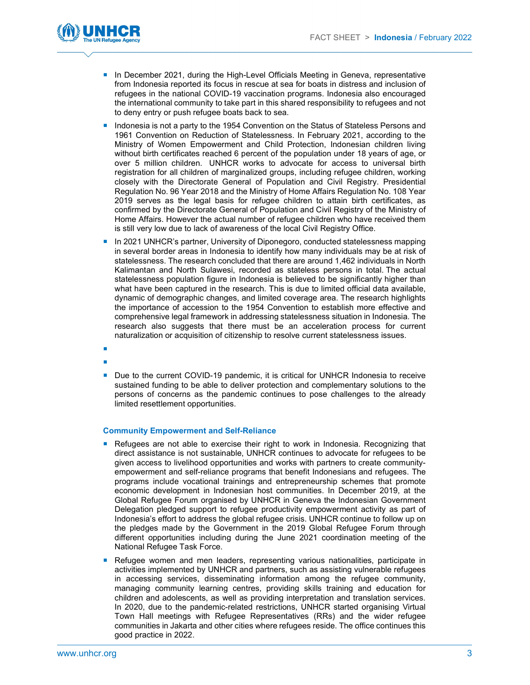

- **In December 2021, during the High-Level Officials Meeting in Geneva, representative** from Indonesia reported its focus in rescue at sea for boats in distress and inclusion of refugees in the national COVID-19 vaccination programs. Indonesia also encouraged the international community to take part in this shared responsibility to refugees and not to deny entry or push refugee boats back to sea.
- Indonesia is not a party to the 1954 Convention on the Status of Stateless Persons and 1961 Convention on Reduction of Statelessness. In February 2021, according to the Ministry of Women Empowerment and Child Protection, Indonesian children living without birth certificates reached 6 percent of the population under 18 years of age, or over 5 million children. UNHCR works to advocate for access to universal birth registration for all children of marginalized groups, including refugee children, working closely with the Directorate General of Population and Civil Registry. Presidential Regulation No. 96 Year 2018 and the Ministry of Home Affairs Regulation No. 108 Year 2019 serves as the legal basis for refugee children to attain birth certificates, as confirmed by the Directorate General of Population and Civil Registry of the Ministry of Home Affairs. However the actual number of refugee children who have received them is still very low due to lack of awareness of the local Civil Registry Office.
- **In 2021 UNHCR's partner, University of Diponegoro, conducted statelessness mapping** in several border areas in Indonesia to identify how many individuals may be at risk of statelessness. The research concluded that there are around 1,462 individuals in North Kalimantan and North Sulawesi, recorded as stateless persons in total. The actual statelessness population figure in Indonesia is believed to be significantly higher than what have been captured in the research. This is due to limited official data available, dynamic of demographic changes, and limited coverage area. The research highlights the importance of accession to the 1954 Convention to establish more effective and comprehensive legal framework in addressing statelessness situation in Indonesia. The research also suggests that there must be an acceleration process for current naturalization or acquisition of citizenship to resolve current statelessness issues.
- 
- 
- Due to the current COVID-19 pandemic, it is critical for UNHCR Indonesia to receive sustained funding to be able to deliver protection and complementary solutions to the persons of concerns as the pandemic continues to pose challenges to the already limited resettlement opportunities.

### Community Empowerment and Self-Reliance

- **Refugees are not able to exercise their right to work in Indonesia. Recognizing that** direct assistance is not sustainable, UNHCR continues to advocate for refugees to be given access to livelihood opportunities and works with partners to create communityempowerment and self-reliance programs that benefit Indonesians and refugees. The programs include vocational trainings and entrepreneurship schemes that promote economic development in Indonesian host communities. In December 2019, at the Global Refugee Forum organised by UNHCR in Geneva the Indonesian Government Delegation pledged support to refugee productivity empowerment activity as part of Indonesia's effort to address the global refugee crisis. UNHCR continue to follow up on the pledges made by the Government in the 2019 Global Refugee Forum through different opportunities including during the June 2021 coordination meeting of the National Refugee Task Force.
- **Refugee women and men leaders, representing various nationalities, participate in** activities implemented by UNHCR and partners, such as assisting vulnerable refugees in accessing services, disseminating information among the refugee community, managing community learning centres, providing skills training and education for children and adolescents, as well as providing interpretation and translation services. In 2020, due to the pandemic-related restrictions, UNHCR started organising Virtual Town Hall meetings with Refugee Representatives (RRs) and the wider refugee communities in Jakarta and other cities where refugees reside. The office continues this good practice in 2022.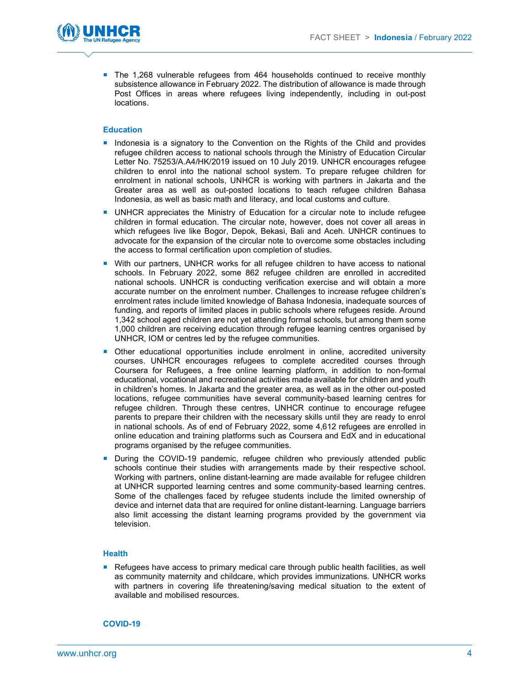

**The 1,268 vulnerable refugees from 464 households continued to receive monthly** subsistence allowance in February 2022. The distribution of allowance is made through Post Offices in areas where refugees living independently, including in out-post locations.

#### **Education**

- **Indonesia is a signatory to the Convention on the Rights of the Child and provides** refugee children access to national schools through the Ministry of Education Circular Letter No. 75253/A.A4/HK/2019 issued on 10 July 2019. UNHCR encourages refugee children to enrol into the national school system. To prepare refugee children for enrolment in national schools, UNHCR is working with partners in Jakarta and the Greater area as well as out-posted locations to teach refugee children Bahasa Indonesia, as well as basic math and literacy, and local customs and culture.
- UNHCR appreciates the Ministry of Education for a circular note to include refugee children in formal education. The circular note, however, does not cover all areas in which refugees live like Bogor, Depok, Bekasi, Bali and Aceh. UNHCR continues to advocate for the expansion of the circular note to overcome some obstacles including the access to formal certification upon completion of studies.
- With our partners, UNHCR works for all refugee children to have access to national schools. In February 2022, some 862 refugee children are enrolled in accredited national schools. UNHCR is conducting verification exercise and will obtain a more accurate number on the enrolment number. Challenges to increase refugee children's enrolment rates include limited knowledge of Bahasa Indonesia, inadequate sources of funding, and reports of limited places in public schools where refugees reside. Around 1,342 school aged children are not yet attending formal schools, but among them some 1,000 children are receiving education through refugee learning centres organised by UNHCR, IOM or centres led by the refugee communities.
- Other educational opportunities include enrolment in online, accredited university courses. UNHCR encourages refugees to complete accredited courses through Coursera for Refugees, a free online learning platform, in addition to non-formal educational, vocational and recreational activities made available for children and youth in children's homes. In Jakarta and the greater area, as well as in the other out-posted locations, refugee communities have several community-based learning centres for refugee children. Through these centres, UNHCR continue to encourage refugee parents to prepare their children with the necessary skills until they are ready to enrol in national schools. As of end of February 2022, some 4,612 refugees are enrolled in online education and training platforms such as Coursera and EdX and in educational programs organised by the refugee communities.
- **During the COVID-19 pandemic, refugee children who previously attended public** schools continue their studies with arrangements made by their respective school. Working with partners, online distant-learning are made available for refugee children at UNHCR supported learning centres and some community-based learning centres. Some of the challenges faced by refugee students include the limited ownership of device and internet data that are required for online distant-learning. Language barriers also limit accessing the distant learning programs provided by the government via television.

#### **Health**

Refugees have access to primary medical care through public health facilities, as well as community maternity and childcare, which provides immunizations. UNHCR works with partners in covering life threatening/saving medical situation to the extent of available and mobilised resources.

#### COVID-19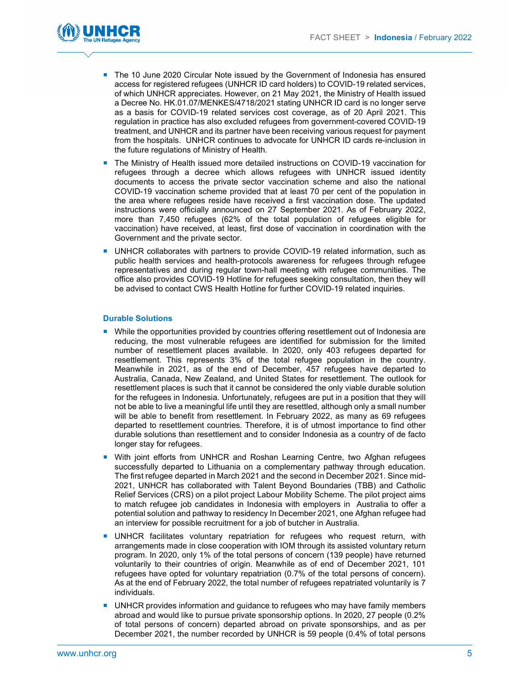

- The 10 June 2020 Circular Note issued by the Government of Indonesia has ensured access for registered refugees (UNHCR ID card holders) to COVID-19 related services, of which UNHCR appreciates. However, on 21 May 2021, the Ministry of Health issued a Decree No. HK.01.07/MENKES/4718/2021 stating UNHCR ID card is no longer serve as a basis for COVID-19 related services cost coverage, as of 20 April 2021. This regulation in practice has also excluded refugees from government-covered COVID-19 treatment, and UNHCR and its partner have been receiving various request for payment from the hospitals. UNHCR continues to advocate for UNHCR ID cards re-inclusion in the future regulations of Ministry of Health.
- The Ministry of Health issued more detailed instructions on COVID-19 vaccination for refugees through a decree which allows refugees with UNHCR issued identity documents to access the private sector vaccination scheme and also the national COVID-19 vaccination scheme provided that at least 70 per cent of the population in the area where refugees reside have received a first vaccination dose. The updated instructions were officially announced on 27 September 2021. As of February 2022, more than 7,450 refugees (62% of the total population of refugees eligible for vaccination) have received, at least, first dose of vaccination in coordination with the Government and the private sector.
- UNHCR collaborates with partners to provide COVID-19 related information, such as public health services and health-protocols awareness for refugees through refugee representatives and during regular town-hall meeting with refugee communities. The office also provides COVID-19 Hotline for refugees seeking consultation, then they will be advised to contact CWS Health Hotline for further COVID-19 related inquiries.

#### Durable Solutions

- **While the opportunities provided by countries offering resettlement out of Indonesia are** reducing, the most vulnerable refugees are identified for submission for the limited number of resettlement places available. In 2020, only 403 refugees departed for resettlement. This represents 3% of the total refugee population in the country. Meanwhile in 2021, as of the end of December, 457 refugees have departed to Australia, Canada, New Zealand, and United States for resettlement. The outlook for resettlement places is such that it cannot be considered the only viable durable solution for the refugees in Indonesia. Unfortunately, refugees are put in a position that they will not be able to live a meaningful life until they are resettled, although only a small number will be able to benefit from resettlement. In February 2022, as many as 69 refugees departed to resettlement countries. Therefore, it is of utmost importance to find other durable solutions than resettlement and to consider Indonesia as a country of de facto longer stay for refugees.
- **With joint efforts from UNHCR and Roshan Learning Centre, two Afghan refugees** successfully departed to Lithuania on a complementary pathway through education. The first refugee departed in March 2021 and the second in December 2021. Since mid-2021, UNHCR has collaborated with Talent Beyond Boundaries (TBB) and Catholic Relief Services (CRS) on a pilot project Labour Mobility Scheme. The pilot project aims to match refugee job candidates in Indonesia with employers in Australia to offer a potential solution and pathway to residency In December 2021, one Afghan refugee had an interview for possible recruitment for a job of butcher in Australia.
- **UNHCR** facilitates voluntary repatriation for refugees who request return, with arrangements made in close cooperation with IOM through its assisted voluntary return program. In 2020, only 1% of the total persons of concern (139 people) have returned voluntarily to their countries of origin. Meanwhile as of end of December 2021, 101 refugees have opted for voluntary repatriation (0.7% of the total persons of concern). As at the end of February 2022, the total number of refugees repatriated voluntarily is 7 individuals.
- **UNHCR** provides information and guidance to refugees who may have family members abroad and would like to pursue private sponsorship options. In 2020, 27 people (0.2% of total persons of concern) departed abroad on private sponsorships, and as per December 2021, the number recorded by UNHCR is 59 people (0.4% of total persons